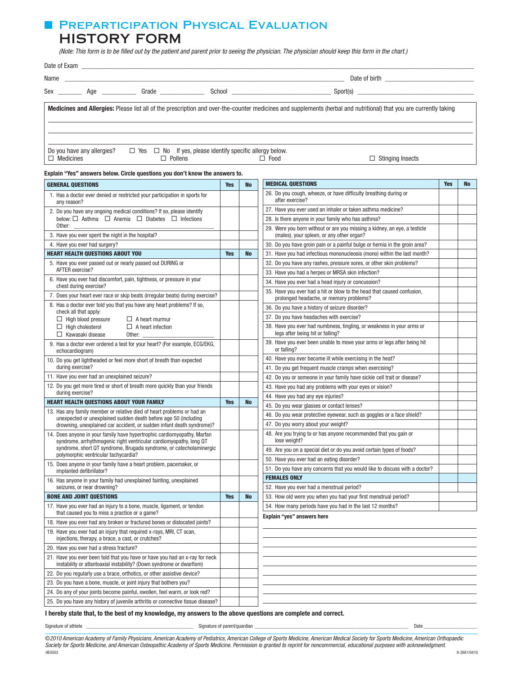## ■ PREPARTICIPATION PHYSICAL EVALUATION HISTORY FORM

 *(Note: This form is to be filled out by the patient and parent prior to seeing the physician. The physician should keep this form in the chart.)*

|                                                | Sex ___________ Age _______________ Grade _______________ |                                                                      |                                                                                                                                                                    |
|------------------------------------------------|-----------------------------------------------------------|----------------------------------------------------------------------|--------------------------------------------------------------------------------------------------------------------------------------------------------------------|
|                                                |                                                           |                                                                      | Medicines and Allergies: Please list all of the prescription and over-the-counter medicines and supplements (herbal and nutritional) that you are currently taking |
| Do you have any allergies?<br>$\Box$ Medicines | $\Box$ Pollens                                            | $\Box$ Yes $\Box$ No If yes, please identify specific allergy below. | $\Box$ Stinging Insects<br>$\Box$ Food                                                                                                                             |

### Explain "Yes" answers below. Circle questions you don't know the answers to.

| <b>GENERAL QUESTIONS</b>                                                                                                                                                                                             | <b>Yes</b> | <b>No</b> | <b>MEDICAL QUESTIONS</b>                                                                                               | <b>Yes</b> | <b>No</b> |
|----------------------------------------------------------------------------------------------------------------------------------------------------------------------------------------------------------------------|------------|-----------|------------------------------------------------------------------------------------------------------------------------|------------|-----------|
| 1. Has a doctor ever denied or restricted your participation in sports for<br>any reason?                                                                                                                            |            |           | 26. Do you cough, wheeze, or have difficulty breathing during or<br>after exercise?                                    |            |           |
| 2. Do you have any ongoing medical conditions? If so, please identify                                                                                                                                                |            |           | 27. Have you ever used an inhaler or taken asthma medicine?                                                            |            |           |
| below: □ Asthma □ Anemia □ Diabetes □ Infections                                                                                                                                                                     |            |           | 28. Is there anyone in your family who has asthma?                                                                     |            |           |
| Other:<br>3. Have you ever spent the night in the hospital?                                                                                                                                                          |            |           | 29. Were you born without or are you missing a kidney, an eye, a testicle<br>(males), your spleen, or any other organ? |            |           |
| 4. Have you ever had surgery?                                                                                                                                                                                        |            |           | 30. Do you have groin pain or a painful bulge or hernia in the groin area?                                             |            |           |
| <b>HEART HEALTH QUESTIONS ABOUT YOU</b>                                                                                                                                                                              | <b>Yes</b> | <b>No</b> | 31. Have you had infectious mononucleosis (mono) within the last month?                                                |            |           |
| 5. Have you ever passed out or nearly passed out DURING or                                                                                                                                                           |            |           | 32. Do you have any rashes, pressure sores, or other skin problems?                                                    |            |           |
| AFTER exercise?                                                                                                                                                                                                      |            |           | 33. Have you had a herpes or MRSA skin infection?                                                                      |            |           |
| 6. Have you ever had discomfort, pain, tightness, or pressure in your<br>chest during exercise?                                                                                                                      |            |           | 34. Have you ever had a head injury or concussion?                                                                     |            |           |
| 7. Does your heart ever race or skip beats (irregular beats) during exercise?                                                                                                                                        |            |           | 35. Have you ever had a hit or blow to the head that caused confusion,<br>prolonged headache, or memory problems?      |            |           |
| 8. Has a doctor ever told you that you have any heart problems? If so,<br>check all that apply:                                                                                                                      |            |           | 36. Do you have a history of seizure disorder?                                                                         |            |           |
| $\Box$ High blood pressure<br>$\Box$ A heart murmur                                                                                                                                                                  |            |           | 37. Do you have headaches with exercise?                                                                               |            |           |
| $\Box$ High cholesterol<br>$\Box$ A heart infection<br>$\Box$ Kawasaki disease<br>Other:                                                                                                                             |            |           | 38. Have you ever had numbness, tingling, or weakness in your arms or<br>legs after being hit or falling?              |            |           |
| 9. Has a doctor ever ordered a test for your heart? (For example, ECG/EKG,<br>echocardiogram)                                                                                                                        |            |           | 39. Have you ever been unable to move your arms or legs after being hit<br>or falling?                                 |            |           |
| 10. Do you get lightheaded or feel more short of breath than expected                                                                                                                                                |            |           | 40. Have you ever become ill while exercising in the heat?                                                             |            |           |
| during exercise?                                                                                                                                                                                                     |            |           | 41. Do you get frequent muscle cramps when exercising?                                                                 |            |           |
| 11. Have you ever had an unexplained seizure?                                                                                                                                                                        |            |           | 42. Do you or someone in your family have sickle cell trait or disease?                                                |            |           |
| 12. Do you get more tired or short of breath more quickly than your friends                                                                                                                                          |            |           | 43. Have you had any problems with your eyes or vision?                                                                |            |           |
| during exercise?                                                                                                                                                                                                     |            |           | 44. Have you had any eye injuries?                                                                                     |            |           |
| <b>HEART HEALTH QUESTIONS ABOUT YOUR FAMILY</b>                                                                                                                                                                      | <b>Yes</b> | <b>No</b> | 45. Do you wear glasses or contact lenses?                                                                             |            |           |
| 13. Has any family member or relative died of heart problems or had an<br>unexpected or unexplained sudden death before age 50 (including                                                                            |            |           | 46. Do you wear protective eyewear, such as goggles or a face shield?                                                  |            |           |
| drowning, unexplained car accident, or sudden infant death syndrome)?                                                                                                                                                |            |           | 47. Do you worry about your weight?                                                                                    |            |           |
| 14. Does anyone in your family have hypertrophic cardiomyopathy, Marfan<br>syndrome, arrhythmogenic right ventricular cardiomyopathy, long QT<br>syndrome, short QT syndrome, Brugada syndrome, or catecholaminergic |            |           | 48. Are you trying to or has anyone recommended that you gain or<br>lose weight?                                       |            |           |
| polymorphic ventricular tachycardia?                                                                                                                                                                                 |            |           | 49. Are you on a special diet or do you avoid certain types of foods?                                                  |            |           |
| 15. Does anyone in your family have a heart problem, pacemaker, or                                                                                                                                                   |            |           | 50. Have you ever had an eating disorder?                                                                              |            |           |
| implanted defibrillator?                                                                                                                                                                                             |            |           | 51. Do you have any concerns that you would like to discuss with a doctor?                                             |            |           |
| 16. Has anyone in your family had unexplained fainting, unexplained                                                                                                                                                  |            |           | <b>FEMALES ONLY</b>                                                                                                    |            |           |
| seizures, or near drowning?                                                                                                                                                                                          |            |           | 52. Have you ever had a menstrual period?                                                                              |            |           |
| <b>BONE AND JOINT QUESTIONS</b>                                                                                                                                                                                      | <b>Yes</b> | <b>No</b> | 53. How old were you when you had your first menstrual period?                                                         |            |           |
| 17. Have you ever had an injury to a bone, muscle, ligament, or tendon<br>that caused you to miss a practice or a game?                                                                                              |            |           | 54. How many periods have you had in the last 12 months?<br>Explain "yes" answers here                                 |            |           |
| 18. Have you ever had any broken or fractured bones or dislocated joints?                                                                                                                                            |            |           |                                                                                                                        |            |           |
| 19. Have you ever had an injury that required x-rays, MRI, CT scan,<br>injections, therapy, a brace, a cast, or crutches?                                                                                            |            |           |                                                                                                                        |            |           |
| 20. Have you ever had a stress fracture?                                                                                                                                                                             |            |           |                                                                                                                        |            |           |
| 21. Have you ever been told that you have or have you had an x-ray for neck<br>instability or atlantoaxial instability? (Down syndrome or dwarfism)                                                                  |            |           |                                                                                                                        |            |           |
| 22. Do you regularly use a brace, orthotics, or other assistive device?                                                                                                                                              |            |           |                                                                                                                        |            |           |
| 23. Do you have a bone, muscle, or joint injury that bothers you?                                                                                                                                                    |            |           |                                                                                                                        |            |           |
| 24. Do any of your joints become painful, swollen, feel warm, or look red?                                                                                                                                           |            |           |                                                                                                                        |            |           |
| 25. Do you have any history of juvenile arthritis or connective tissue disease?                                                                                                                                      |            |           |                                                                                                                        |            |           |

I hereby state that, to the best of my knowledge, my answers to the above questions are complete and correct.

Signature of athlete \_\_\_\_\_\_\_\_\_\_\_\_\_\_\_\_\_\_\_\_\_\_\_\_\_\_\_\_\_\_\_\_\_\_\_\_\_\_\_\_\_\_ Signature of parent/guardian \_\_\_\_\_\_\_\_\_\_\_\_\_\_\_\_\_\_\_\_\_\_\_\_\_\_\_\_\_\_\_\_\_\_\_\_\_\_\_\_\_\_\_\_\_\_\_\_\_\_\_\_\_\_\_\_\_\_\_\_ Date \_\_\_\_\_\_\_\_\_\_\_\_\_\_\_\_\_\_\_\_\_

©*2010 American Academy of Family Physicians, American Academy of Pediatrics, American College of Sports Medicine, American Medical Society for Sports Medicine, American Orthopaedic Society for Sports Medicine, and American Osteopathic Academy of Sports Medicine. Permission is granted to reprint for noncommercial, educational purposes with acknowledgment.* HE0503 9-2681/0410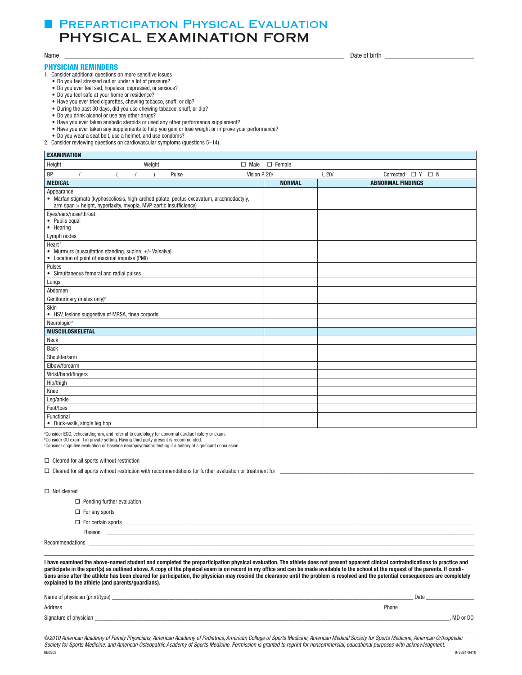# **■ PREPARTICIPATION PHYSICAL EVALUATION** PHYSICAL EXAMINATION FORM

## PHYSICIAN REMINDERS

1. Consider additional questions on more sensitive issues

- • Do you feel stressed out or under a lot of pressure?
- Do you ever feel sad, hopeless, depressed, or anxious?
- Do you feel safe at your home or residence?
- Have you ever tried cigarettes, chewing tobacco, snuff, or dip?
- • During the past 30 days, did you use chewing tobacco, snuff, or dip?
- • Do you drink alcohol or use any other drugs?
- Have you ever taken anabolic steroids or used any other performance supplement?
- Have you ever taken any supplements to help you gain or lose weight or improve your performance?
- • Do you wear a seat belt, use a helmet, and use condoms?
- 2. Consider reviewing questions on cardiovascular symptoms (questions 5–14).

| <b>EXAMINATION</b>                                                                                                                                                           |               |                                     |  |  |
|------------------------------------------------------------------------------------------------------------------------------------------------------------------------------|---------------|-------------------------------------|--|--|
| Weight<br>Height<br>$\Box$ Male                                                                                                                                              | $\Box$ Female |                                     |  |  |
| BP<br>Pulse<br>Vision R 20/                                                                                                                                                  |               | L20/<br>Corrected $\Box$ Y $\Box$ N |  |  |
| <b>MEDICAL</b>                                                                                                                                                               | <b>NORMAL</b> | <b>ABNORMAL FINDINGS</b>            |  |  |
| Appearance<br>• Marfan stigmata (kyphoscoliosis, high-arched palate, pectus excavatum, arachnodactyly,<br>arm span > height, hyperlaxity, myopia, MVP, aortic insufficiency) |               |                                     |  |  |
| Eyes/ears/nose/throat<br>• Pupils equal<br>• Hearing                                                                                                                         |               |                                     |  |  |
| Lymph nodes                                                                                                                                                                  |               |                                     |  |  |
| Heart <sup>a</sup><br>• Murmurs (auscultation standing, supine, +/- Valsalva)<br>• Location of point of maximal impulse (PMI)                                                |               |                                     |  |  |
| Pulses<br>• Simultaneous femoral and radial pulses                                                                                                                           |               |                                     |  |  |
| Lungs                                                                                                                                                                        |               |                                     |  |  |
| Abdomen                                                                                                                                                                      |               |                                     |  |  |
| Genitourinary (males only) <sup>b</sup>                                                                                                                                      |               |                                     |  |  |
| Skin<br>• HSV, lesions suggestive of MRSA, tinea corporis                                                                                                                    |               |                                     |  |  |
| Neurologic <sup>c</sup>                                                                                                                                                      |               |                                     |  |  |
| <b>MUSCULOSKELETAL</b>                                                                                                                                                       |               |                                     |  |  |
| Neck                                                                                                                                                                         |               |                                     |  |  |
| <b>Back</b>                                                                                                                                                                  |               |                                     |  |  |
| Shoulder/arm                                                                                                                                                                 |               |                                     |  |  |
| Elbow/forearm                                                                                                                                                                |               |                                     |  |  |
| Wrist/hand/fingers                                                                                                                                                           |               |                                     |  |  |
| Hip/thigh                                                                                                                                                                    |               |                                     |  |  |
| Knee                                                                                                                                                                         |               |                                     |  |  |
| Leg/ankle                                                                                                                                                                    |               |                                     |  |  |
| Foot/toes                                                                                                                                                                    |               |                                     |  |  |
| Functional<br>• Duck-walk, single leg hop                                                                                                                                    |               |                                     |  |  |

<sup>a</sup>Consider ECG, echocardiogram, and referral to cardiology for abnormal cardiac history or exam.

<sup>ь</sup>Consider GU exam if in private setting. Having third party present is recommended.<br>℃onsider cognitive evaluation or baseline neuropsychiatric testing if a history of significant concussion.

 $\square$  Cleared for all sports without restriction

| $\Box$ Cleared for all sports without restriction with recommendations for further evaluation or treatment for $\Box$ |                                   |  |  |  |
|-----------------------------------------------------------------------------------------------------------------------|-----------------------------------|--|--|--|
|                                                                                                                       |                                   |  |  |  |
| $\Box$ Not cleared                                                                                                    |                                   |  |  |  |
|                                                                                                                       | $\Box$ Pending further evaluation |  |  |  |
|                                                                                                                       | $\Box$ For any sports             |  |  |  |
|                                                                                                                       |                                   |  |  |  |
|                                                                                                                       | Reason                            |  |  |  |
| Recommendations                                                                                                       |                                   |  |  |  |
|                                                                                                                       |                                   |  |  |  |

I have examined the above-named student and completed the preparticipation physical evaluation. The athlete does not present apparent clinical contraindications to practice and participate in the sport(s) as outlined above. A copy of the physical exam is on record in my office and can be made available to the school at the request of the parents. If conditions arise after the athlete has been cleared for participation, the physician may rescind the clearance until the problem is resolved and the potential consequences are completely explained to the athlete (and parents/guardians).

| Name of physician (print/type) | Date       |
|--------------------------------|------------|
| Address                        | Phone      |
| Signature of physician         | . MD or DO |

©*2010 American Academy of Family Physicians, American Academy of Pediatrics, American College of Sports Medicine, American Medical Society for Sports Medicine, American Orthopaedic*  Society for Sports Medicine, and American Osteopathic Academy of Sports Medicine. Permission is granted to reprint for noncommercial, educational purposes with acknowledgment.<br>HEGGGS HE0503 9-2681/0410

Name \_\_\_\_\_\_\_\_\_\_\_\_\_\_\_\_\_\_\_\_\_\_\_\_\_\_\_\_\_\_\_\_\_\_\_\_\_\_\_\_\_\_\_\_\_\_\_\_\_\_\_\_\_\_\_\_\_\_\_\_\_\_\_\_\_\_\_\_\_\_\_\_\_\_\_\_\_\_\_\_\_\_ Date of birth \_\_\_\_\_\_\_\_\_\_\_\_\_\_\_\_\_\_\_\_\_\_\_\_\_\_